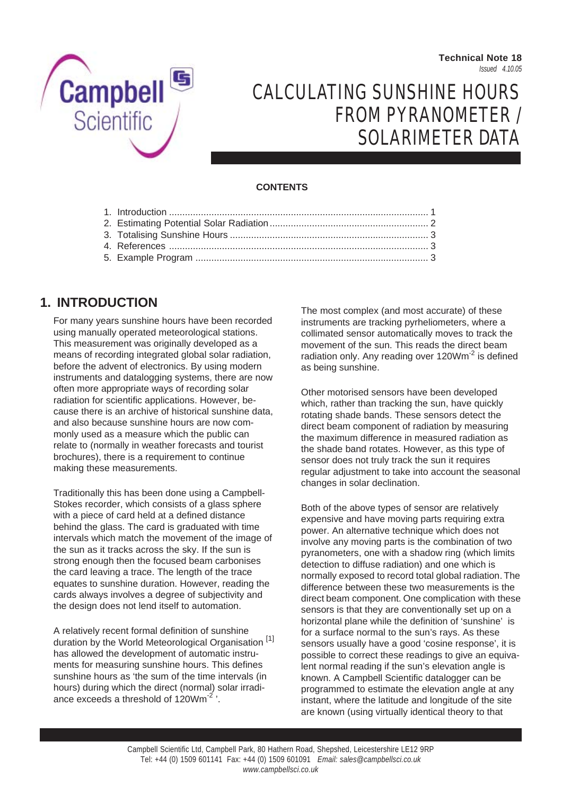**Technical Note 18** *Issued 4.10.05*



# CALCULATING SUNSHINE HOURS FROM PYRANOMETER / SOLARIMETER DATA

### **CONTENTS**

### **1. INTRODUCTION**

For many years sunshine hours have been recorded using manually operated meteorological stations. This measurement was originally developed as a means of recording integrated global solar radiation, before the advent of electronics. By using modern instruments and datalogging systems, there are now often more appropriate ways of recording solar radiation for scientific applications. However, because there is an archive of historical sunshine data, and also because sunshine hours are now commonly used as a measure which the public can relate to (normally in weather forecasts and tourist brochures), there is a requirement to continue making these measurements.

Traditionally this has been done using a Campbell-Stokes recorder, which consists of a glass sphere with a piece of card held at a defined distance behind the glass. The card is graduated with time intervals which match the movement of the image of the sun as it tracks across the sky. If the sun is strong enough then the focused beam carbonises the card leaving a trace. The length of the trace equates to sunshine duration. However, reading the cards always involves a degree of subjectivity and the design does not lend itself to automation.

A relatively recent formal definition of sunshine duration by the World Meteorological Organisation [1] has allowed the development of automatic instruments for measuring sunshine hours. This defines sunshine hours as 'the sum of the time intervals (in hours) during which the direct (normal) solar irradiance exceeds a threshold of  $120Wm^{-2}$ .

The most complex (and most accurate) of these instruments are tracking pyrheliometers, where a collimated sensor automatically moves to track the movement of the sun. This reads the direct beam radiation only. Any reading over 120Wm<sup>-2</sup> is defined as being sunshine.

Other motorised sensors have been developed which, rather than tracking the sun, have quickly rotating shade bands. These sensors detect the direct beam component of radiation by measuring the maximum difference in measured radiation as the shade band rotates. However, as this type of sensor does not truly track the sun it requires regular adjustment to take into account the seasonal changes in solar declination.

Both of the above types of sensor are relatively expensive and have moving parts requiring extra power. An alternative technique which does not involve any moving parts is the combination of two pyranometers, one with a shadow ring (which limits detection to diffuse radiation) and one which is normally exposed to record total global radiation. The difference between these two measurements is the direct beam component. One complication with these sensors is that they are conventionally set up on a horizontal plane while the definition of 'sunshine' is for a surface normal to the sun's rays. As these sensors usually have a good 'cosine response', it is possible to correct these readings to give an equivalent normal reading if the sun's elevation angle is known. A Campbell Scientific datalogger can be programmed to estimate the elevation angle at any instant, where the latitude and longitude of the site are known (using virtually identical theory to that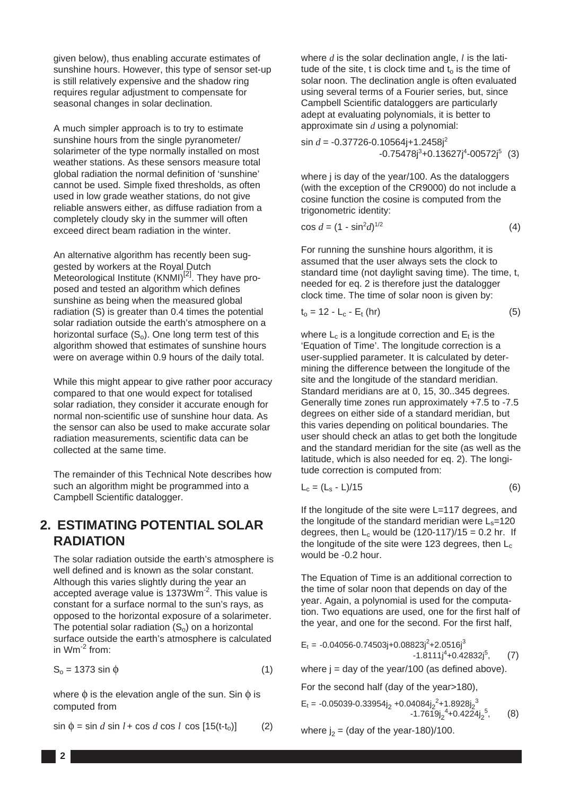given below), thus enabling accurate estimates of sunshine hours. However, this type of sensor set-up is still relatively expensive and the shadow ring requires regular adjustment to compensate for seasonal changes in solar declination.

A much simpler approach is to try to estimate sunshine hours from the single pyranometer/ solarimeter of the type normally installed on most weather stations. As these sensors measure total global radiation the normal definition of 'sunshine' cannot be used. Simple fixed thresholds, as often used in low grade weather stations, do not give reliable answers either, as diffuse radiation from a completely cloudy sky in the summer will often exceed direct beam radiation in the winter.

An alternative algorithm has recently been suggested by workers at the Royal Dutch Meteorological Institute  $(KNMI)^{[2]}$ . They have proposed and tested an algorithm which defines sunshine as being when the measured global radiation (S) is greater than 0.4 times the potential solar radiation outside the earth's atmosphere on a horizontal surface  $(S_0)$ . One long term test of this algorithm showed that estimates of sunshine hours were on average within 0.9 hours of the daily total.

While this might appear to give rather poor accuracy compared to that one would expect for totalised solar radiation, they consider it accurate enough for normal non-scientific use of sunshine hour data. As the sensor can also be used to make accurate solar radiation measurements, scientific data can be collected at the same time.

The remainder of this Technical Note describes how such an algorithm might be programmed into a Campbell Scientific datalogger.

## **2. ESTIMATING POTENTIAL SOLAR RADIATION**

The solar radiation outside the earth's atmosphere is well defined and is known as the solar constant. Although this varies slightly during the year an accepted average value is 1373Wm<sup>-2</sup>. This value is constant for a surface normal to the sun's rays, as opposed to the horizontal exposure of a solarimeter. The potential solar radiation  $(S_0)$  on a horizontal surface outside the earth's atmosphere is calculated in Wm-2 from:

$$
S_o = 1373 \sin \phi \tag{1}
$$

where  $\phi$  is the elevation angle of the sun. Sin  $\phi$  is computed from

$$
\sin \phi = \sin d \sin l + \cos d \cos l \cos [15(t-t_0)] \tag{2}
$$

where *d* is the solar declination angle, *l* is the latitude of the site, t is clock time and  $t_0$  is the time of solar noon. The declination angle is often evaluated using several terms of a Fourier series, but, since Campbell Scientific dataloggers are particularly adept at evaluating polynomials, it is better to approximate sin *d* using a polynomial:

sin *d* = -0.37726-0.10564j+1.2458j2  $-0.75478j^{3} + 0.13627j^{4} - 0.0572j^{5}$  (3)

where j is day of the year/100. As the dataloggers (with the exception of the CR9000) do not include a cosine function the cosine is computed from the trigonometric identity:

$$
\cos d = (1 - \sin^2 d)^{1/2} \tag{4}
$$

For running the sunshine hours algorithm, it is assumed that the user always sets the clock to standard time (not daylight saving time). The time, t, needed for eq. 2 is therefore just the datalogger clock time. The time of solar noon is given by:

$$
t_o = 12 - L_c - E_t \text{ (hr)} \tag{5}
$$

where  $L_c$  is a longitude correction and  $E_t$  is the 'Equation of Time'. The longitude correction is a user-supplied parameter. It is calculated by determining the difference between the longitude of the site and the longitude of the standard meridian. Standard meridians are at 0, 15, 30..345 degrees. Generally time zones run approximately +7.5 to -7.5 degrees on either side of a standard meridian, but this varies depending on political boundaries. The user should check an atlas to get both the longitude and the standard meridian for the site (as well as the latitude, which is also needed for eq. 2). The longitude correction is computed from:

$$
L_c = (L_s - L)/15 \tag{6}
$$

If the longitude of the site were L=117 degrees, and the longitude of the standard meridian were  $L_s$ =120 degrees, then  $L_c$  would be  $(120-117)/15 = 0.2$  hr. If the longitude of the site were 123 degrees, then  $L_c$ would be -0.2 hour.

The Equation of Time is an additional correction to the time of solar noon that depends on day of the year. Again, a polynomial is used for the computation. Two equations are used, one for the first half of the year, and one for the second. For the first half,

 $E_t = -0.04056 - 0.74503j + 0.08823j^2 + 2.0516j^3$  -1.8111j<sup>4</sup> +0.42832j<sup>5</sup>  $(7)$ 

where  $j = day$  of the year/100 (as defined above).

For the second half (day of the year>180),

$$
E_t = -0.05039 - 0.33954j_2 + 0.04084j_2^2 + 1.8928j_2^3
$$
  
-1.7619j\_2<sup>4</sup>+0.4224j\_2<sup>5</sup>, (8)

where  $j_2$  = (day of the year-180)/100.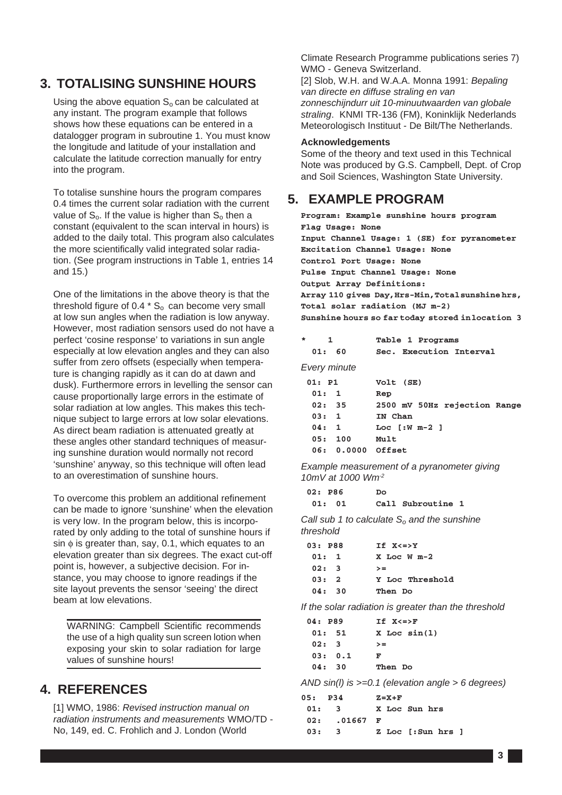## **3. TOTALISING SUNSHINE HOURS**

Using the above equation  $S_0$  can be calculated at any instant. The program example that follows shows how these equations can be entered in a datalogger program in subroutine 1. You must know the longitude and latitude of your installation and calculate the latitude correction manually for entry into the program.

To totalise sunshine hours the program compares 0.4 times the current solar radiation with the current value of  $S_0$ . If the value is higher than  $S_0$  then a constant (equivalent to the scan interval in hours) is added to the daily total. This program also calculates the more scientifically valid integrated solar radiation. (See program instructions in Table 1, entries 14 and 15.)

One of the limitations in the above theory is that the threshold figure of 0.4  $*$  S<sub>o</sub> can become very small at low sun angles when the radiation is low anyway. However, most radiation sensors used do not have a perfect 'cosine response' to variations in sun angle especially at low elevation angles and they can also suffer from zero offsets (especially when temperature is changing rapidly as it can do at dawn and dusk). Furthermore errors in levelling the sensor can cause proportionally large errors in the estimate of solar radiation at low angles. This makes this technique subject to large errors at low solar elevations. As direct beam radiation is attenuated greatly at these angles other standard techniques of measuring sunshine duration would normally not record 'sunshine' anyway, so this technique will often lead to an overestimation of sunshine hours.

To overcome this problem an additional refinement can be made to ignore 'sunshine' when the elevation is very low. In the program below, this is incorporated by only adding to the total of sunshine hours if sin  $\phi$  is greater than, say, 0.1, which equates to an elevation greater than six degrees. The exact cut-off point is, however, a subjective decision. For instance, you may choose to ignore readings if the site layout prevents the sensor 'seeing' the direct beam at low elevations.

WARNING: Campbell Scientific recommends the use of a high quality sun screen lotion when exposing your skin to solar radiation for large values of sunshine hours!

### **4. REFERENCES**

[1] WMO, 1986: *Revised instruction manual on radiation instruments and measurements* WMO/TD - No, 149, ed. C. Frohlich and J. London (World

Climate Research Programme publications series 7) WMO - Geneva Switzerland.

[2] Slob, W.H. and W.A.A. Monna 1991: *Bepaling van directe en diffuse straling en van zonneschijndurr uit 10-minuutwaarden van globale straling*. KNMI TR-136 (FM), Koninklijk Nederlands Meteorologisch Instituut - De Bilt/The Netherlands.

#### **Acknowledgements**

Some of the theory and text used in this Technical Note was produced by G.S. Campbell, Dept. of Crop and Soil Sciences, Washington State University.

### **5. EXAMPLE PROGRAM**

**Program: Example sunshine hours program Flag Usage: None Input Channel Usage: 1 (SE) for pyranometer Excitation Channel Usage: None Control Port Usage: None Pulse Input Channel Usage: None Output Array Definitions: Array 110 gives Day, Hrs-Min,Total sunshine hrs, Total solar radiation (MJ m-2) Sunshine hours so far today stored in location 3**

| $\star$<br>1<br>01: 60 | Table 1 Programs<br>Sec. Execution Interval |
|------------------------|---------------------------------------------|
| Every minute           |                                             |
| $01:$ P1               | Volt (SE)                                   |
| 01:1                   | Rep                                         |
| 02:35                  | 2500 mV 50Hz rejection Range                |
| 03:1                   | IN Chan                                     |
| 04:1                   | Loc $f:W$ $m-2$ 1                           |
| 05:100                 | Mult                                        |
| 06: 0.0000 Offset      |                                             |

*Example measurement of a pyranometer giving 10mV at 1000 Wm-2*

| 02: P86 | DΟ                |  |
|---------|-------------------|--|
| 01: 01  | Call Subroutine 1 |  |

*Call sub 1 to calculate S<sub>o</sub> and the sunshine threshold*

| 03: P88 | $If X \leq y$   |
|---------|-----------------|
| 01:1    | $X$ Loc W $m-2$ |
| 02:3    | $>=$            |
| 03:2    | Y Loc Threshold |
| 04: 30  | Then Do         |
|         |                 |

*If the solar radiation is greater than the threshold*

| 04: P89 | $TF$ $X \leq Y$  |
|---------|------------------|
| 01: 51  | $X$ Loc $sin(1)$ |
| 02:3    | $>=$             |
| 03: 0.1 | F                |
| 04:30   | Then Do          |

*AND sin(l) is >=0.1 (elevation angle > 6 degrees)*

| 05: P34 | $Z = X + F$       |
|---------|-------------------|
| 01:3    | X Loc Sun hrs     |
|         |                   |
| 03:3    | Z Loc [:Sun hrs ] |
|         | $02: 01667$ F     |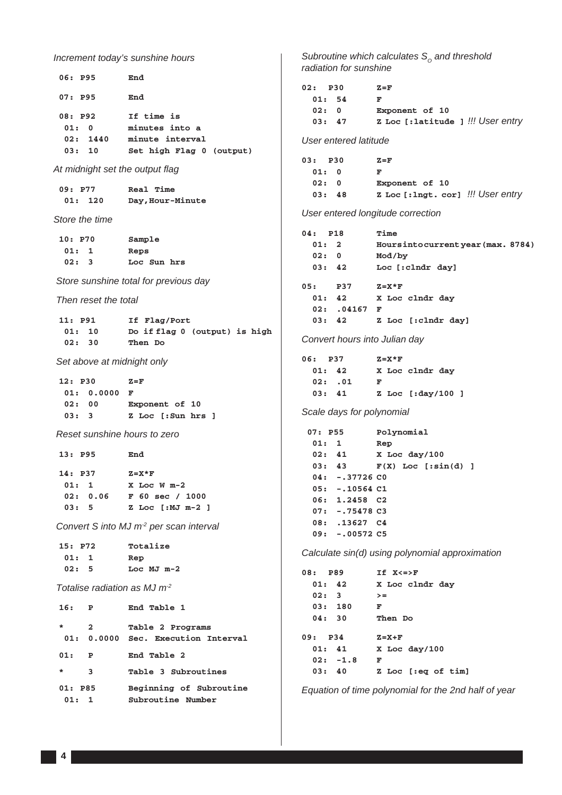*Increment today's sunshine hours*  **06: P95 End 07: P95 End 08: P92 If time is 01: 0 minutes into a 02: 1440 minute interval 03: 10 Set high Flag 0 (output)** *At midnight set the output flag*  **09: P77 Real Time 01: 120 Day,Hour-Minute** *Store the time*  **10: P70 Sample 01: 1 Reps 02: 3 Loc Sun hrs** *Store sunshine total for previous day Then reset the total* **11: P91 If Flag/Port**<br>**01: 10** Do if flag 0 **01: 10 Do if flag 0 (output) is high 02: 30 Then Do** *Set above at midnight only*  **12: P30 Z=F 01: 0.0000 F 02: 00 Exponent of 10 03: 3 Z Loc [:Sun hrs ]**  *Reset sunshine hours to zero*  **13: P95 End 14: P37 Z=X\*F 01: 1 X Loc W m-2 02: 0.06 F 60 sec / 1000 03: 5 Z Loc [:MJ m-2 ]**  *Convert S into MJ m-2 per scan interval*  **15: P72 Totalize 01: 1 Rep 02: 5 Loc MJ m-2**  *Totalise radiation as MJ m-2*  **16: P End Table 1 \* 2 Table 2 Programs 01: 0.0000 Sec. Execution Interval 01: P End Table 2 \* 3 Table 3 Subroutines 01: P85 Beginning of Subroutine 01: 1 Subroutine Number**

*Subroutine which calculates S<sub>o</sub> and threshold radiation for sunshine*

| 02: P30 |       | $Z = F$                           |  |
|---------|-------|-----------------------------------|--|
|         | 01:54 | F                                 |  |
| 02: 0   |       | Exponent of 10                    |  |
|         | 03:47 | z Loc [:latitude ] !!! User entry |  |

#### *User entered latitude*

| 03: P30 | $Z = F$                           |  |
|---------|-----------------------------------|--|
| 01: 0   | F                                 |  |
| 02: 0   | Exponent of 10                    |  |
| 03:48   | z Loc [:lngt. cor] !!! User entry |  |

*User entered longitude correction*

| $04:$ P18                                         | Time                                                      |
|---------------------------------------------------|-----------------------------------------------------------|
| 01:2                                              | Hours into current year (max. 8784)                       |
| 02:0                                              | Mod/by                                                    |
| 03:42                                             | Loc [:clndr day]                                          |
| 05:<br><b>P37</b><br>01:42<br>02: .04167<br>03:42 | $Z = X * F$<br>X Loc clndr day<br>F<br>Z Loc [:clndr day] |
|                                                   |                                                           |

#### *Convert hours into Julian day*

| 06: P37 |         |   | $Z = X * F$ |                    |  |
|---------|---------|---|-------------|--------------------|--|
| 01: 42  |         |   |             | X Loc clndr day    |  |
|         | 02: .01 | F |             |                    |  |
| 03:41   |         |   |             | Z Loc $[:day/100]$ |  |

#### *Scale days for polynomial*

| 07: P55 |       |                         | Polynomial            |  |
|---------|-------|-------------------------|-----------------------|--|
|         | 01:1  |                         | Rep                   |  |
|         | 02:41 |                         | X Loc day/100         |  |
|         | 03:43 |                         | $F(X)$ Loc [:sin(d) ] |  |
|         |       | $04: -37726$ CO         |                       |  |
|         |       | $05: -10564 \text{ C1}$ |                       |  |
|         |       | 06: 1.2458 C2           |                       |  |
|         |       | $07: -0.75478C3$        |                       |  |
|         |       | 08: 13627 C4            |                       |  |
|         |       | $09: -00572C5$          |                       |  |

*Calculate sin(d) using polynomial approximation*

| 08: P89 |            | $IF$ $X \leq Y$    |
|---------|------------|--------------------|
|         | 01: 42     | X Loc clndr day    |
|         | 02:3       | $>=$               |
|         | 03:180     | F                  |
|         | 04:30      | Then Do            |
| 09: P34 |            | $Z = X + F$        |
|         | 01: 41     | X Loc day/100      |
|         | $02: -1.8$ | F                  |
|         | 03:40      | Z Loc [:eq of tim] |

*Equation of time polynomial for the 2nd half of year*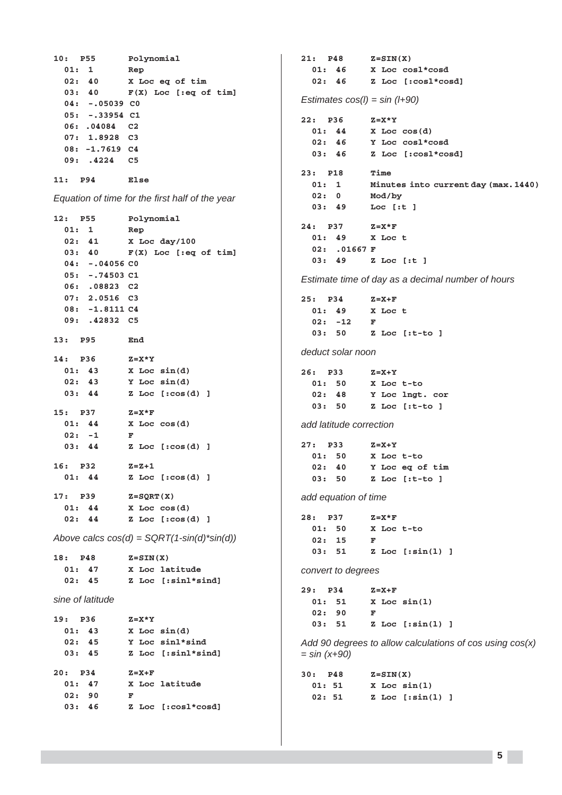**10: P55 Polynomial 01: 1 Rep 02: 40 X Loc eq of tim 03: 40 F(X) Loc [:eq of tim] 04: -.05039 C0 05: -.33954 C1 06: .04084 C2 07: 1.8928 C3 08: -1.7619 C4 09: .4224 C5 11: P94 Else** *Equation of time for the first half of the year* **12: P55 Polynomial 01: 1 Rep 02: 41 X Loc day/100 03: 40 F(X) Loc [:eq of tim] 04: -.04056 C0 05: -.74503 C1 06: .08823 C2 07: 2.0516 C3 08: -1.8111 C4 09: .42832 C5 13: P95 End 14: P36 Z=X\*Y 01: 43 X Loc sin(d) 02: 43 Y Loc sin(d) 03: 44 Z Loc [:cos(d) ] 15: P37 Z=X\*F 01: 44 X Loc cos(d) 02: -1 F 03: 44 Z Loc [:cos(d) ] 16: P32 Z=Z+1 01: 44 Z Loc [:cos(d) ] 17: P39 Z=SQRT(X) 01: 44 X Loc cos(d) 02: 44 Z Loc [:cos(d) ]** *Above calcs cos(d) = SQRT(1-sin(d)\*sin(d))* **18: P48 Z=SIN(X) 01: 47 X Loc latitude 02: 45 Z Loc [:sinl\*sind]** *sine of latitude* **19: P36 Z=X\*Y 01: 43 X Loc sin(d) 02: 45 Y Loc sinl\*sind 03: 45 Z Loc [:sinl\*sind] 20: P34 Z=X+F 01: 47 X Loc latitude 02: 90 F 03: 46 Z Loc [:cosl\*cosd]**

**21: P48 Z=SIN(X) 01: 46 X Loc cosl\*cosd 02: 46 Z Loc [:cosl\*cosd]** *Estimates cos(l) = sin (l+90)* **22: P36 Z=X\*Y 01: 44 X Loc cos(d) 02: 46 Y Loc cosl\*cosd 03: 46 Z Loc [:cosl\*cosd] 23: P18 Time 01: 1 Minutes into current day (max. 1440) 02: 0 Mod/by 03: 49 Loc [:t ] 24: P37 Z=X\*F 01: 49 X Loc t 02: .01667 F 03: 49 Z Loc [:t ]** *Estimate time of day as a decimal number of hours* **25: P34 Z=X+F 01: 49 X Loc t 02: -12 F 03: 50 Z Loc [:t-to ]** *deduct solar noon* **26: P33 Z=X+Y 01: 50 X Loc t-to 02: 48 Y Loc lngt. cor 03: 50 Z Loc [:t-to ]** *add latitude correction* **27: P33 Z=X+Y 01: 50 X Loc t-to 02: 40 Y Loc eq of tim 03: 50 Z Loc [:t-to ]** *add equation of time* **28: P37 Z=X\*F 01: 50 X Loc t-to 02: 15 F 03: 51 Z Loc [:sin(l) ]** *convert to degrees* **29: P34 Z=X+F 01: 51 X Loc sin(l) 02: 90 F 03: 51 Z Loc [:sin(l) ]** *Add 90 degrees to allow calculations of cos using cos(x) = sin (x+90)* **30: P48 Z=SIN(X) 01: 51 X Loc sin(l) 02: 51 Z Loc [:sin(l) ]**